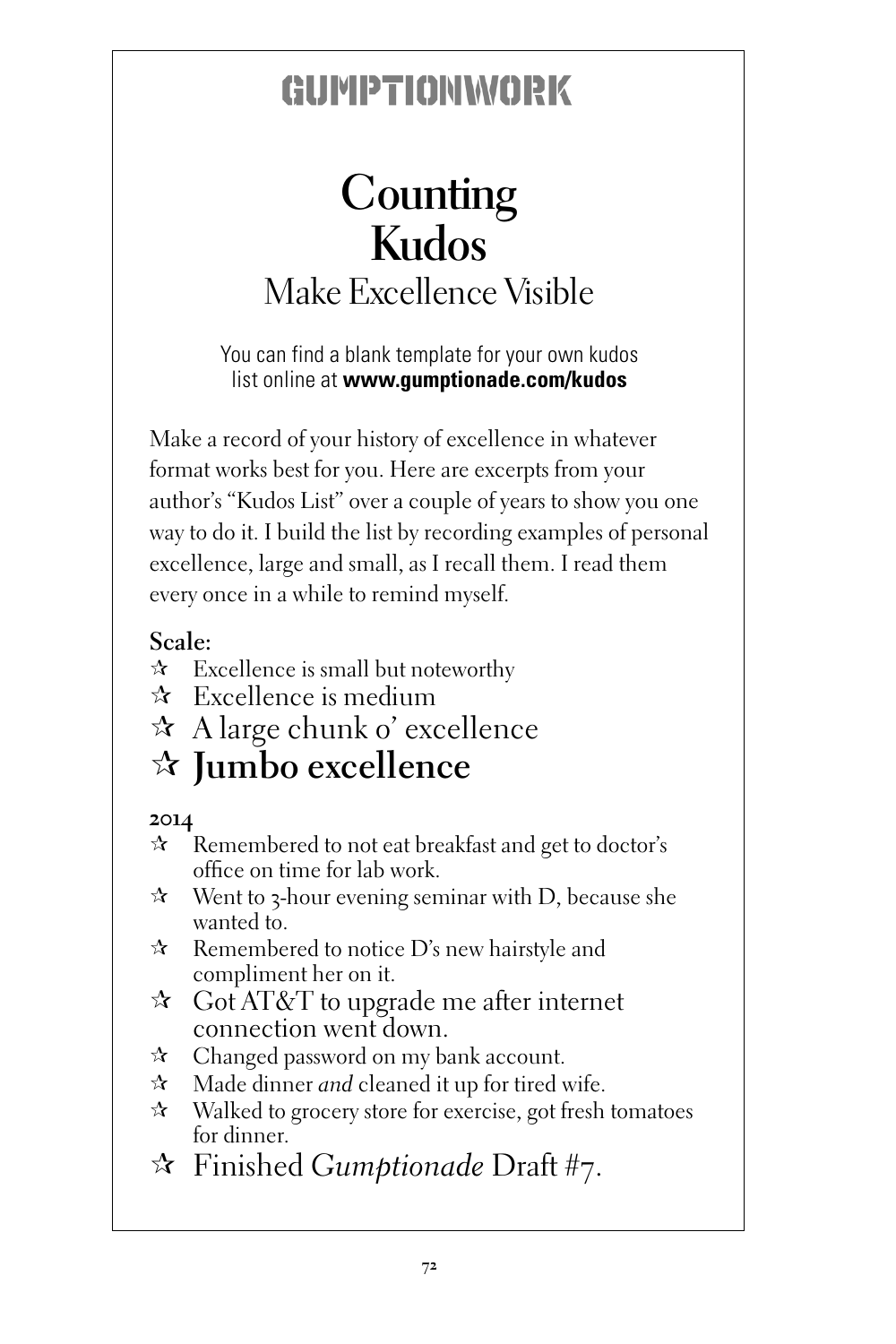# **Counting Kudos** Make Excellence Visible

You can find a blank template for your own kudos list online at **www.gumptionade.com/kudos**

Make a record of your history of excellence in whatever format works best for you. Here are excerpts from your author's "Kudos List" over a couple of years to show you one way to do it. I build the list by recording examples of personal excellence, large and small, as I recall them. I read them every once in a while to remind myself.

#### **Scale:**

- $\hat{x}$  Excellence is small but noteworthy
- $\star$  Excellence is medium
- $\star$  A large chunk o' excellence

#### ¶ **Jumbo excellence**

#### **2014**

- $\hat{P}$  Remembered to not eat breakfast and get to doctor's office on time for lab work.
- $\mathcal{R}$  Went to 3-hour evening seminar with D, because she wanted to.
- $\hat{x}$  Remembered to notice D's new hairstyle and compliment her on it.
- $\hat{z}$  Got AT&T to upgrade me after internet connection went down.
- $\hat{x}$  Changed password on my bank account.
- $\mathcal{A}$  Made dinner *and* cleaned it up for tired wife.
- $\mathcal{R}$  Walked to grocery store for exercise, got fresh tomatoes for dinner.
- ¶ Finished *Gumptionade* Draft #7.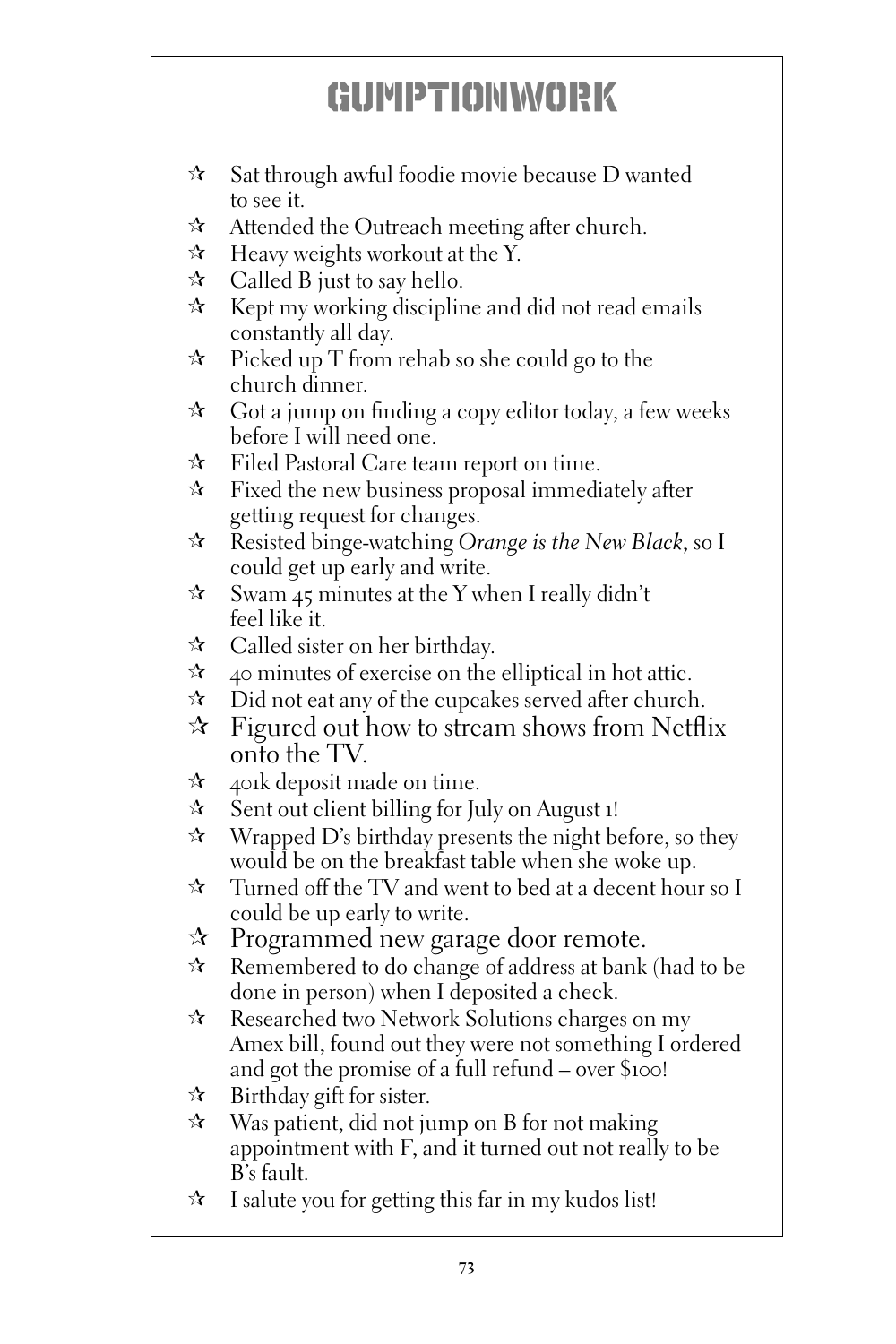- $\hat{x}$  Sat through awful foodie movie because D wanted to see it.
- $\mathcal{A}$  Attended the Outreach meeting after church.
- $\hat{x}$  Heavy weights workout at the Y.
- $\approx$  Called B just to say hello.
- $\hat{x}$  Kept my working discipline and did not read emails constantly all day.
- $\hat{x}$  Picked up T from rehab so she could go to the church dinner.
- $\star$  Got a jump on finding a copy editor today, a few weeks before I will need one.
- $\mathcal{F}$  Filed Pastoral Care team report on time.
- $\hat{x}$  Fixed the new business proposal immediately after getting request for changes.
- ¶ Resisted binge-watching *Orange is the New Black*, so I could get up early and write.
- $\hat{x}$  Swam 45 minutes at the Y when I really didn't feel like it.
- $\star$  Called sister on her birthday.
- $\hat{x}$  40 minutes of exercise on the elliptical in hot attic.
- $\mathcal{R}$  Did not eat any of the cupcakes served after church.
- $\hat{x}$  Figured out how to stream shows from Netflix onto the TV.
- $\approx$  401k deposit made on time.
- $\hat{x}$  Sent out client billing for July on August 1!
- $\mathcal{R}$  Wrapped D's birthday presents the night before, so they would be on the breakfast table when she woke up.
- $\hat{x}$  Turned off the TV and went to bed at a decent hour so I could be up early to write.
- $\mathcal{R}$  Programmed new garage door remote.
- $\hat{x}$  Remembered to do change of address at bank (had to be done in person) when I deposited a check.
- $\mathcal{R}$  Researched two Network Solutions charges on my Amex bill, found out they were not something I ordered and got the promise of a full refund – over \$100!
- $\approx$  Birthday gift for sister.
- $\mathcal{R}$  Was patient, did not jump on B for not making appointment with F, and it turned out not really to be B's fault.
- $\hat{x}$  I salute you for getting this far in my kudos list!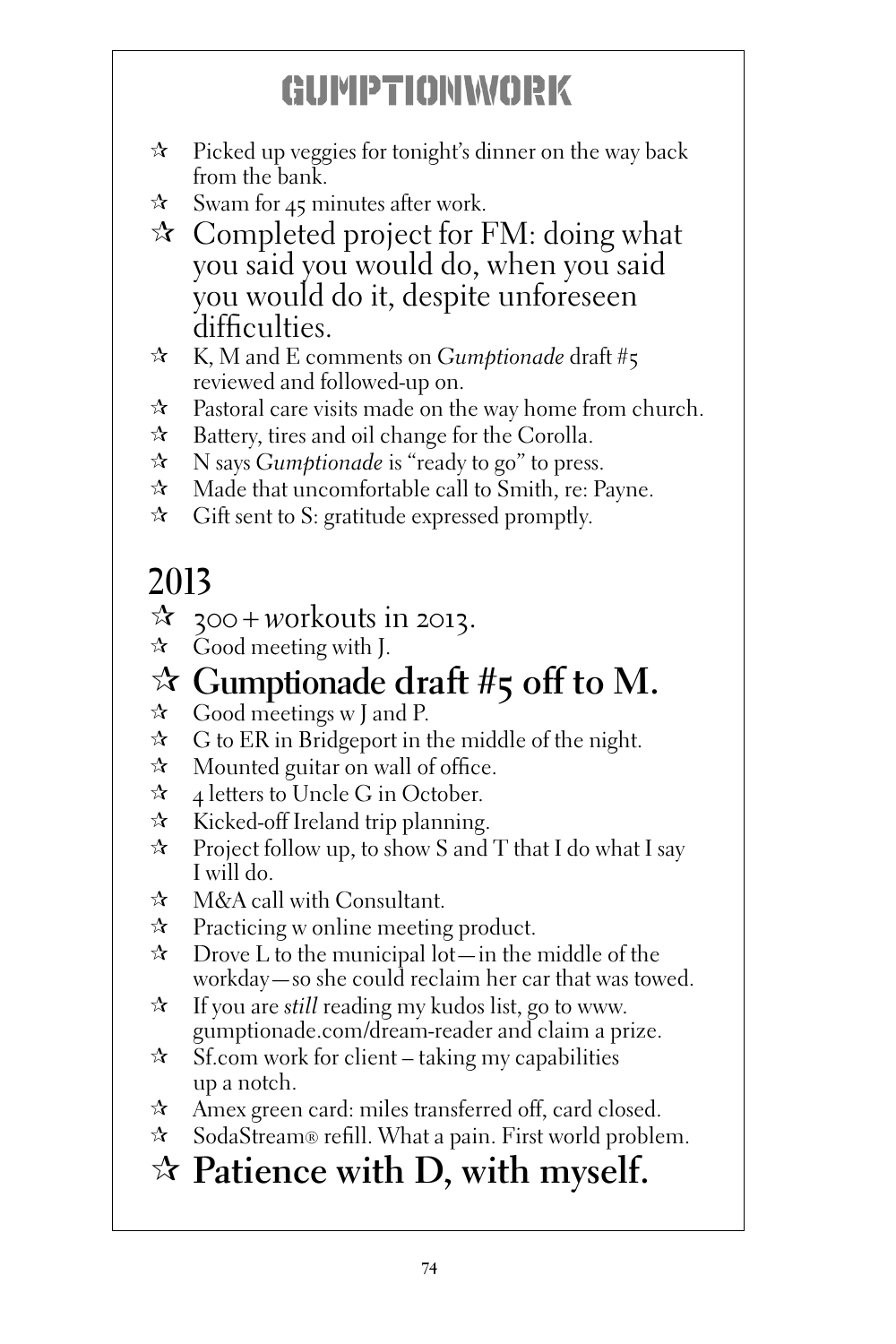- $\hat{x}$  Picked up veggies for tonight's dinner on the way back from the bank.
- $\approx$  Swam for 45 minutes after work.
- $\mathcal{R}$  Completed project for FM: doing what you said you would do, when you said you would do it, despite unforeseen difficulties.
- ¶ K, M and E comments on *Gumptionade* draft #5 reviewed and followed-up on.
- $\hat{x}$  Pastoral care visits made on the way home from church.
- $\hat{x}$  Battery, tires and oil change for the Corolla.
- ¶ N says *Gumptionade* is "ready to go" to press.
- $\hat{x}$  Made that uncomfortable call to Smith, re: Payne.
- $\hat{x}$  Gift sent to S: gratitude expressed promptly.

#### **2013**

- $\vec{x}$  300 + workouts in 2013.
- $\star$  Good meeting with J.

# $\mathbb{R}$  Gumptionade draft #5 off to M.

- Good meetings w J and P.
- $\hat{\mathbf{x}}$  G to ER in Bridgeport in the middle of the night.
- $\mathcal{R}$  Mounted guitar on wall of office.
- $\star$  4 letters to Uncle G in October.
- $\hat{x}$  Kicked-off Ireland trip planning.
- $\hat{x}$  Project follow up, to show S and T that I do what I say I will do.
- $\hat{z}$  M&A call with Consultant.
- $\mathcal{R}$  Practicing w online meeting product.
- $\hat{x}$  Drove L to the municipal lot—in the middle of the workday—so she could reclaim her car that was towed.
- $\mathcal{A}$  If you are *still* reading my kudos list, go to www. gumptionade.com/dream-reader and claim a prize.
- $\hat{B}$  Sf.com work for client taking my capabilities up a notch.
- $\hat{x}$  Amex green card: miles transferred off, card closed.
- $\hat{x}$  SodaStream® refill. What a pain. First world problem.

#### ¶ **Patience with D, with myself.**